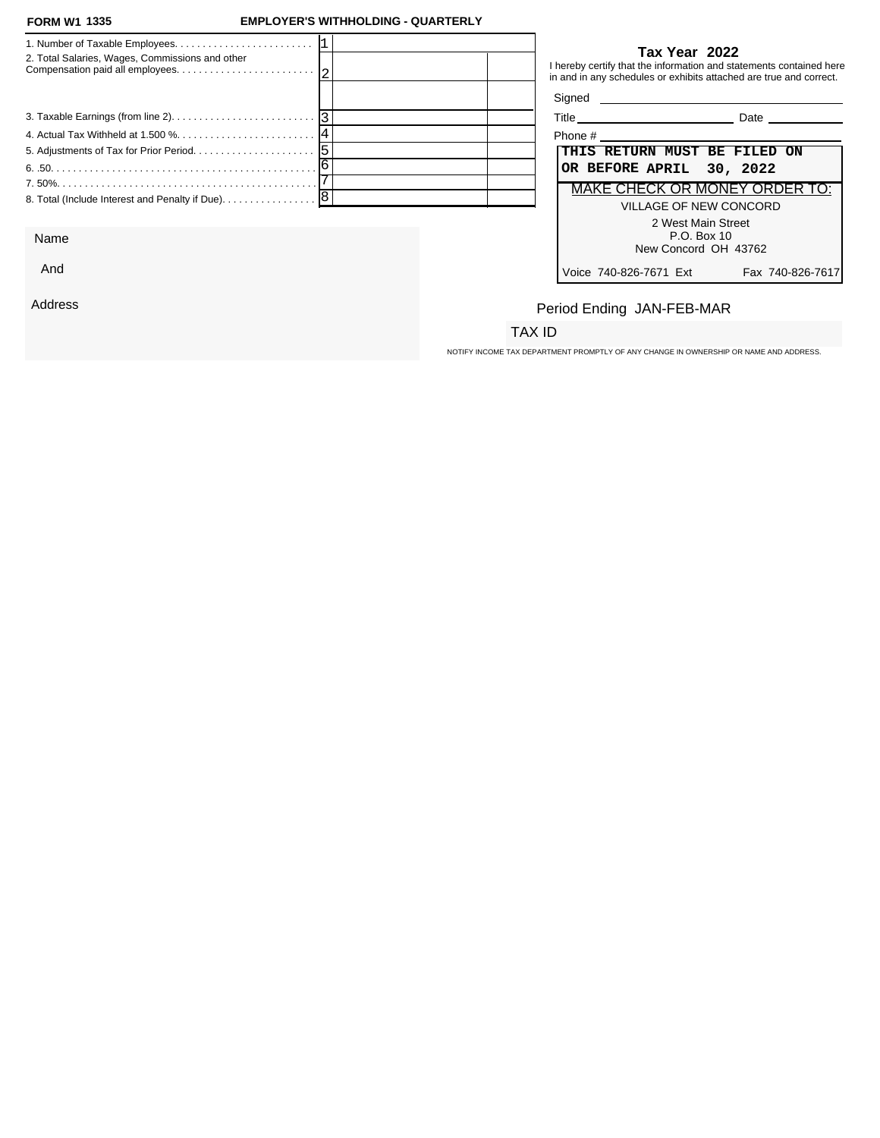#### **FORM W1 1335**

### **FORM W1 EMPLOYER'S WITHHOLDING - QUARTERLY**

| 2. Total Salaries, Wages, Commissions and other                                   | Tax Year 2022<br>in and in any schedules or exhibits attached are true and correct. | I hereby certify that the information and statements contained here |
|-----------------------------------------------------------------------------------|-------------------------------------------------------------------------------------|---------------------------------------------------------------------|
|                                                                                   |                                                                                     |                                                                     |
|                                                                                   |                                                                                     | <b>Date Date</b>                                                    |
|                                                                                   | Phone $#$                                                                           |                                                                     |
|                                                                                   | THIS RETURN MUST BE FILED ON                                                        |                                                                     |
|                                                                                   | OR BEFORE APRIL 30, 2022                                                            |                                                                     |
|                                                                                   |                                                                                     | MAKE CHECK OR MONEY ORDER TO:                                       |
| 8. Total (Include Interest and Penalty if Due). $\ldots \ldots \ldots \ldots$   8 |                                                                                     | VILLAGE OF NEW CONCORD                                              |
|                                                                                   |                                                                                     | 2 West Main Street                                                  |

Name

And

Address

### **Tax Year 2022**

| Title<br>Date                              |
|--------------------------------------------|
| Phone #                                    |
| THIS RETURN MUST BE FILED ON               |
| OR BEFORE APRIL 30, 2022                   |
| MAKE CHECK OR MONEY ORDER TO:              |
| VILLAGE OF NEW CONCORD                     |
| 2 West Main Street                         |
| P.O. Box 10<br>New Concord OH 43762        |
|                                            |
| Voice 740-826-7671 Ext<br>Fax 740-826-7617 |

# Period Ending JAN-FEB-MAR

## TAX ID

NOTIFY INCOME TAX DEPARTMENT PROMPTLY OF ANY CHANGE IN OWNERSHIP OR NAME AND ADDRESS.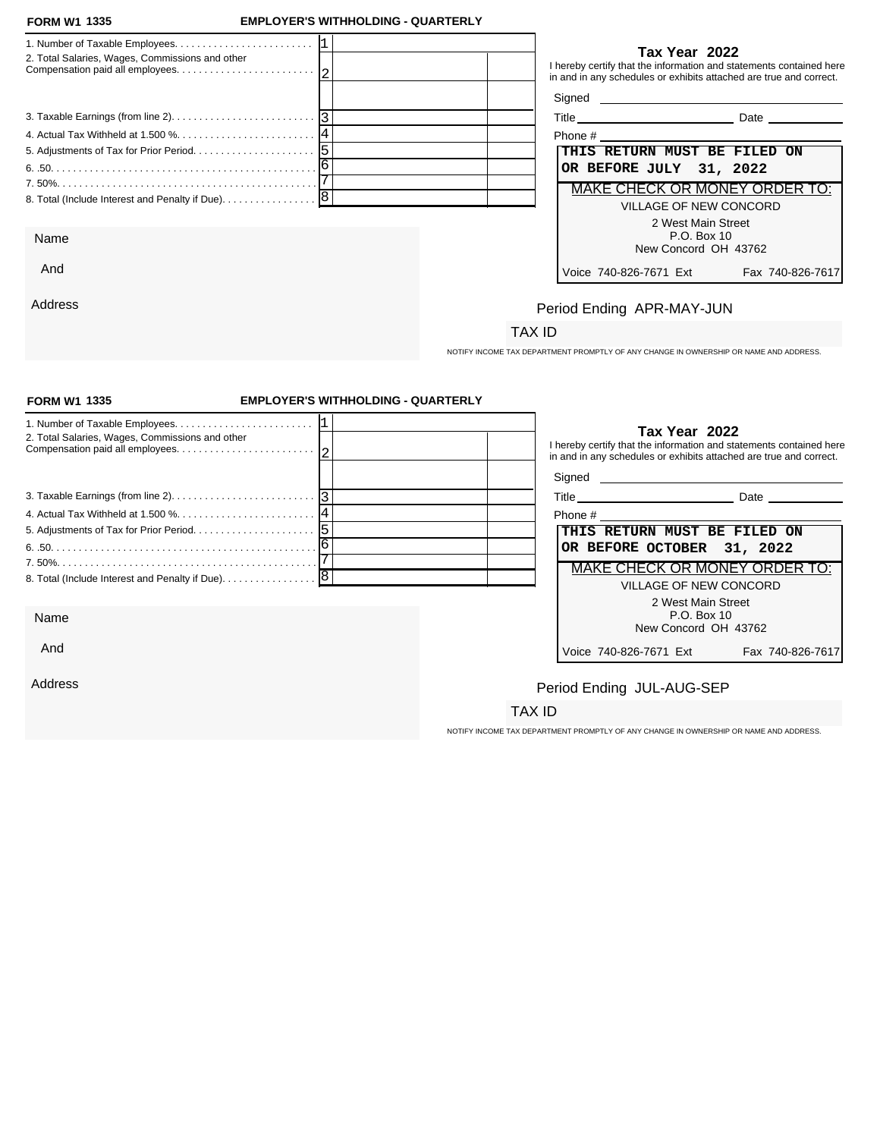#### **FORM W1 1335**

And

Address

### **FORM W1 EMPLOYER'S WITHHOLDING - QUARTERLY**

| 2. Total Salaries, Wages, Commissions and other     | Tax Year 2022<br>I hereby certify that the information and statements contained here<br>in and in any schedules or exhibits attached are true and correct. |
|-----------------------------------------------------|------------------------------------------------------------------------------------------------------------------------------------------------------------|
|                                                     |                                                                                                                                                            |
|                                                     | <b>Date Date</b>                                                                                                                                           |
|                                                     |                                                                                                                                                            |
|                                                     | THIS RETURN MUST BE FILED ON                                                                                                                               |
|                                                     | OR BEFORE JULY 31, 2022                                                                                                                                    |
|                                                     | <b>MAKE CHECK OR MONEY ORDER TO:</b>                                                                                                                       |
| 8. Total (Include Interest and Penalty if Due).   8 | VILLAGE OF NEW CONCORD                                                                                                                                     |
|                                                     | 2 West Main Street                                                                                                                                         |
| Name                                                | P.O. Box 10                                                                                                                                                |

### **Tax Year 2022**

| Phone #                       |                  |
|-------------------------------|------------------|
| THIS RETURN MUST BE FILED ON  |                  |
| OR BEFORE JULY 31, 2022       |                  |
| MAKE CHECK OR MONEY ORDER TO: |                  |
| VILLAGE OF NEW CONCORD        |                  |
| 2 West Main Street            |                  |
| $P.O.$ Box 10                 |                  |
| New Concord OH 43762          |                  |
| Voice 740-826-7671 Ext        | Fax 740-826-7617 |
|                               |                  |

## Period Ending APR-MAY-JUN

## TAX ID

NOTIFY INCOME TAX DEPARTMENT PROMPTLY OF ANY CHANGE IN OWNERSHIP OR NAME AND ADDRESS.

| Tax Year 2022                                                                                                                                    |
|--------------------------------------------------------------------------------------------------------------------------------------------------|
| I hereby certify that the information and statements contained here<br>in and in any schedules or exhibits attached are true and correct.        |
|                                                                                                                                                  |
| <b>Title <i>Community</i></b><br>Date ____________                                                                                               |
| Phone # 2008 and 2008 and 2008 and 2008 and 2008 and 2008 and 2008 and 2008 and 2008 and 2008 and 2008 and 200                                   |
| THIS RETURN MUST BE FILED ON                                                                                                                     |
| OR BEFORE OCTOBER<br>31, 2022                                                                                                                    |
| MAKE CHECK OR MONEY ORDER TO:                                                                                                                    |
| <b>VILLAGE OF NEW CONCORD</b>                                                                                                                    |
| 2 West Main Street                                                                                                                               |
| P.O. Box 10                                                                                                                                      |
| New Concord OH 43762                                                                                                                             |
| Voice 740-826-7671 Ext<br>Fax 740-826-7617                                                                                                       |
|                                                                                                                                                  |
| Period Ending JUL-AUG-SEP                                                                                                                        |
| TAX ID                                                                                                                                           |
| <b>EMPLOYER'S WITHHOLDING - QUARTERLY</b><br>3. Taxable Earnings (from line 2). $\ldots$ . $\ldots$ . $\ldots$ . $\ldots$ . $\ldots$ . $\vert$ 3 |

NOTIFY INCOME TAX DEPARTMENT PROMPTLY OF ANY CHANGE IN OWNERSHIP OR NAME AND ADDRESS.